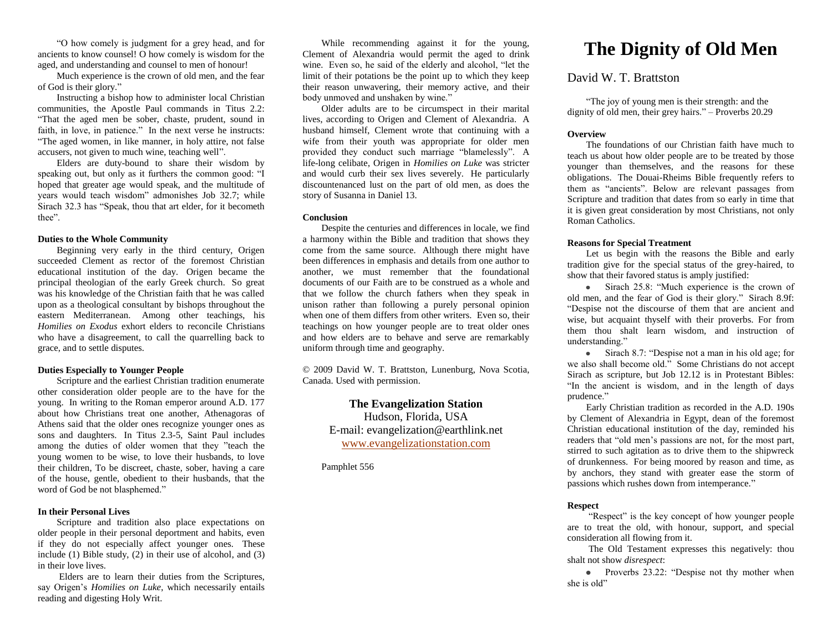"O how comely is judgment for a grey head, and for ancients to know counsel! O how comely is wisdom for the aged, and understanding and counsel to men of honour!

Much experience is the crown of old men, and the fear of God is their glory."

Instructing a bishop how to administer local Christian communities, the Apostle Paul commands in Titus 2.2: "That the aged men be sober, chaste, prudent, sound in faith, in love, in patience." In the next verse he instructs: "The aged women, in like manner, in holy attire, not false accusers, not given to much wine, teaching well".

Elders are duty-bound to share their wisdom by speaking out, but only as it furthers the common good: "I hoped that greater age would speak, and the multitude of years would teach wisdom" admonishes Job 32.7; while Sirach 32.3 has "Speak, thou that art elder, for it becometh thee".

# **Duties to the Whole Community**

Beginning very early in the third century, Origen succeeded Clement as rector of the foremost Christian educational institution of the day. Origen became the principal theologian of the early Greek church. So great was his knowledge of the Christian faith that he was called upon as a theological consultant by bishops throughout the eastern Mediterranean. Among other teachings, his *Homilies on Exodus* exhort elders to reconcile Christians who have a disagreement, to call the quarrelling back to grace, and to settle disputes.

# **Duties Especially to Younger People**

Scripture and the earliest Christian tradition enumerate other consideration older people are to the have for the young. In writing to the Roman emperor around A.D. 177 about how Christians treat one another, Athenagoras of Athens said that the older ones recognize younger ones as sons and daughters. In Titus 2.3-5, Saint Paul includes among the duties of older women that they "teach the young women to be wise, to love their husbands, to love their children, To be discreet, chaste, sober, having a care of the house, gentle, obedient to their husbands, that the word of God be not blasphemed."

# **In their Personal Lives**

Scripture and tradition also place expectations on older people in their personal deportment and habits, even if they do not especially affect younger ones. These include (1) Bible study, (2) in their use of alcohol, and (3) in their love lives.

Elders are to learn their duties from the Scriptures, say Origen's *Homilies on Luke*, which necessarily entails reading and digesting Holy Writ.

While recommending against it for the young, Clement of Alexandria would permit the aged to drink wine. Even so, he said of the elderly and alcohol, "let the limit of their potations be the point up to which they keep their reason unwavering, their memory active, and their body unmoved and unshaken by wine."

Older adults are to be circumspect in their marital lives, according to Origen and Clement of Alexandria. A husband himself, Clement wrote that continuing with a wife from their youth was appropriate for older men provided they conduct such marriage "blamelessly". A life-long celibate, Origen in *Homilies on Luke* was stricter and would curb their sex lives severely. He particularly discountenanced lust on the part of old men, as does the story of Susanna in Daniel 13.

### **Conclusion**

Despite the centuries and differences in locale, we find a harmony within the Bible and tradition that shows they come from the same source. Although there might have been differences in emphasis and details from one author to another, we must remember that the foundational documents of our Faith are to be construed as a whole and that we follow the church fathers when they speak in unison rather than following a purely personal opinion when one of them differs from other writers. Even so, their teachings on how younger people are to treat older ones and how elders are to behave and serve are remarkably uniform through time and geography.

© 2009 David W. T. Brattston, Lunenburg, Nova Scotia, Canada. Used with permission.

> **The Evangelization Station** Hudson, Florida, USA E-mail: evangelization@earthlink.net [www.evangelizationstation.com](http://www.pjpiisoe.org/)

Pamphlet 556

# **The Dignity of Old Men**

# David W. T. Brattston

"The joy of young men is their strength: and the dignity of old men, their grey hairs." – Proverbs 20.29

# **Overview**

The foundations of our Christian faith have much to teach us about how older people are to be treated by those younger than themselves, and the reasons for these obligations. The Douai-Rheims Bible frequently refers to them as "ancients". Below are relevant passages from Scripture and tradition that dates from so early in time that it is given great consideration by most Christians, not only Roman Catholics.

#### **Reasons for Special Treatment**

Let us begin with the reasons the Bible and early tradition give for the special status of the grey-haired, to show that their favored status is amply justified:

• Sirach 25.8: "Much experience is the crown of old men, and the fear of God is their glory." Sirach 8.9f: "Despise not the discourse of them that are ancient and wise, but acquaint thyself with their proverbs. For from them thou shalt learn wisdom, and instruction of understanding."

• Sirach 8.7: "Despise not a man in his old age; for we also shall become old." Some Christians do not accept Sirach as scripture, but Job 12.12 is in Protestant Bibles: "In the ancient is wisdom, and in the length of days prudence."

Early Christian tradition as recorded in the A.D. 190s by Clement of Alexandria in Egypt, dean of the foremost Christian educational institution of the day, reminded his readers that "old men's passions are not, for the most part, stirred to such agitation as to drive them to the shipwreck of drunkenness. For being moored by reason and time, as by anchors, they stand with greater ease the storm of passions which rushes down from intemperance."

#### **Respect**

"Respect" is the key concept of how younger people are to treat the old, with honour, support, and special consideration all flowing from it.

The Old Testament expresses this negatively: thou shalt not show *disrespect*:

• Proverbs 23.22: "Despise not thy mother when she is old"